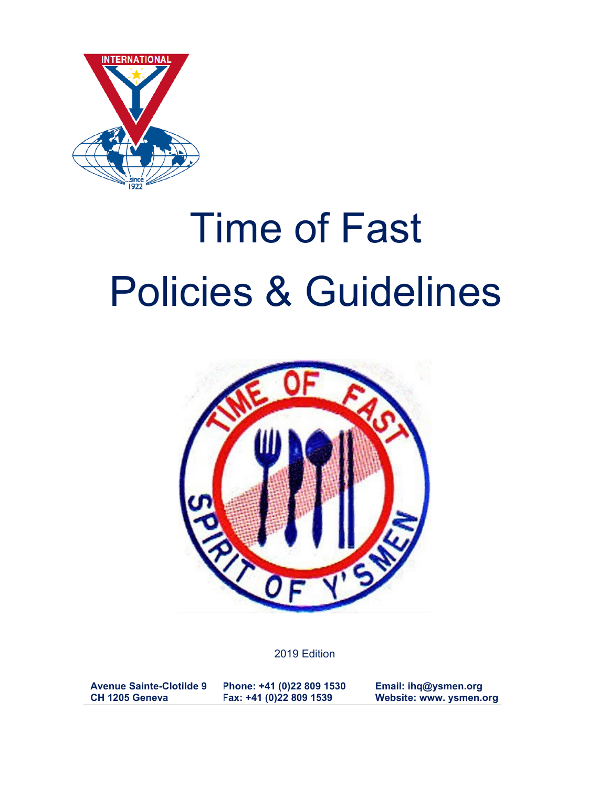

# Time of Fast Policies & Guidelines



2019 Edition

**Avenue Sainte-Clotilde 9 CH 1205 Geneva Phone: +41 (0)22 809 1530 Fax: +41 (0)22 809 1539 Email: ihq@ysmen.org Website: www. ysmen.org**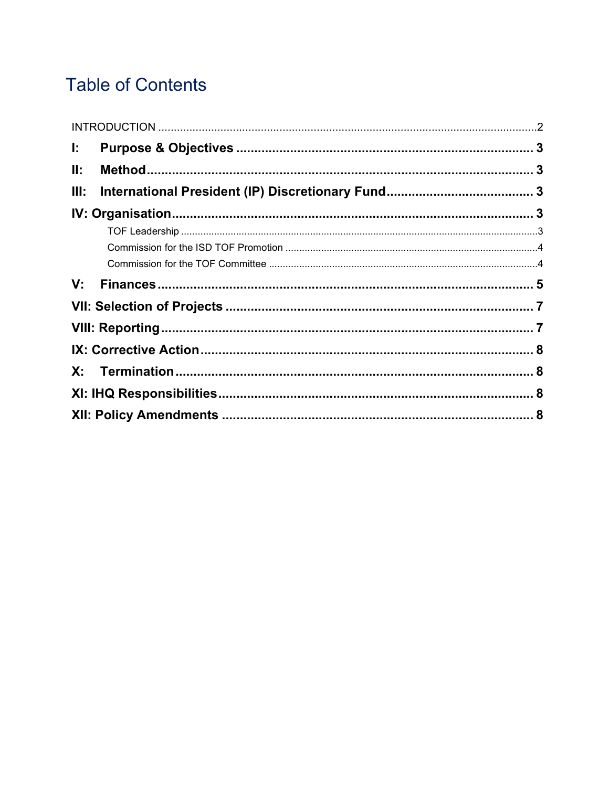# **Table of Contents**

| Ŀ.   |  |
|------|--|
| II:  |  |
| III: |  |
|      |  |
|      |  |
|      |  |
|      |  |
|      |  |
|      |  |
|      |  |
|      |  |
|      |  |
|      |  |
|      |  |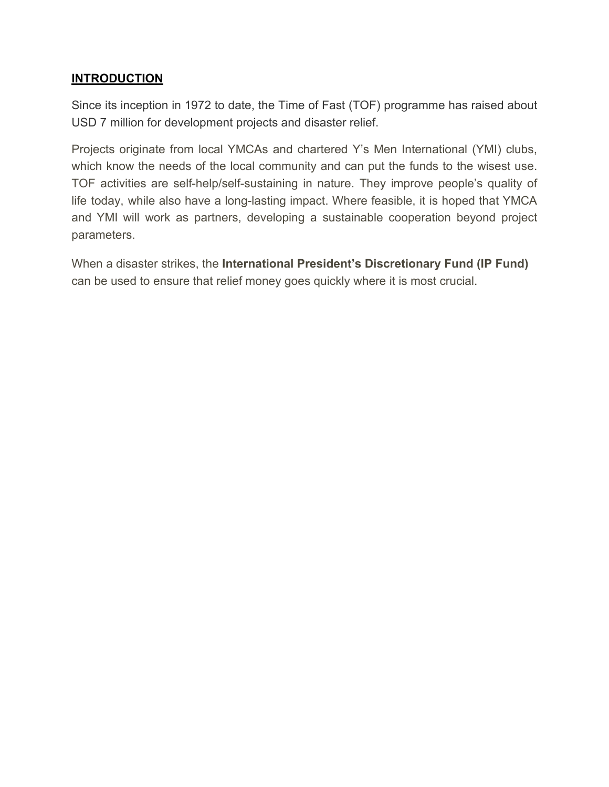#### **INTRODUCTION**

Since its inception in 1972 to date, the Time of Fast (TOF) programme has raised about USD 7 million for development projects and disaster relief.

Projects originate from local YMCAs and chartered Y's Men International (YMI) clubs, which know the needs of the local community and can put the funds to the wisest use. TOF activities are self-help/self-sustaining in nature. They improve people's quality of life today, while also have a long-lasting impact. Where feasible, it is hoped that YMCA and YMI will work as partners, developing a sustainable cooperation beyond project parameters.

When a disaster strikes, the **International President's Discretionary Fund (IP Fund)** can be used to ensure that relief money goes quickly where it is most crucial.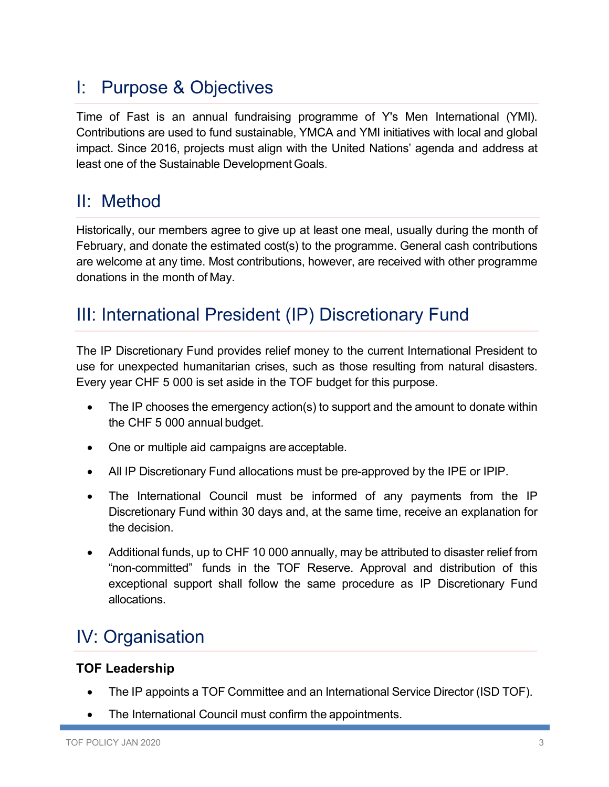## <span id="page-4-0"></span>I: Purpose & Objectives

Time of Fast is an annual fundraising programme of Y's Men International (YMI). Contributions are used to fund sustainable, YMCA and YMI initiatives with local and global impact. Since 2016, projects must align with the United Nations' agenda and address at least one of the Sustainable Development Goals.

## <span id="page-4-1"></span>II: Method

Historically, our members agree to give up at least one meal, usually during the month of February, and donate the estimated cost(s) to the programme. General cash contributions are welcome at any time. Most contributions, however, are received with other programme donations in the month of May.

## <span id="page-4-2"></span>III: International President (IP) Discretionary Fund

The IP Discretionary Fund provides relief money to the current International President to use for unexpected humanitarian crises, such as those resulting from natural disasters. Every year CHF 5 000 is set aside in the TOF budget for this purpose.

- The IP chooses the emergency action(s) to support and the amount to donate within the CHF 5 000 annual budget.
- One or multiple aid campaigns are acceptable.
- All IP Discretionary Fund allocations must be pre-approved by the IPE or IPIP.
- The International Council must be informed of any payments from the IP Discretionary Fund within 30 days and, at the same time, receive an explanation for the decision.
- Additional funds, up to CHF 10 000 annually, may be attributed to disaster relief from "non-committed" funds in the TOF Reserve. Approval and distribution of this exceptional support shall follow the same procedure as IP Discretionary Fund allocations.

# <span id="page-4-3"></span>IV: Organisation

#### <span id="page-4-4"></span>**TOF Leadership**

- The IP appoints a TOF Committee and an International Service Director (ISD TOF).
- The International Council must confirm the appointments.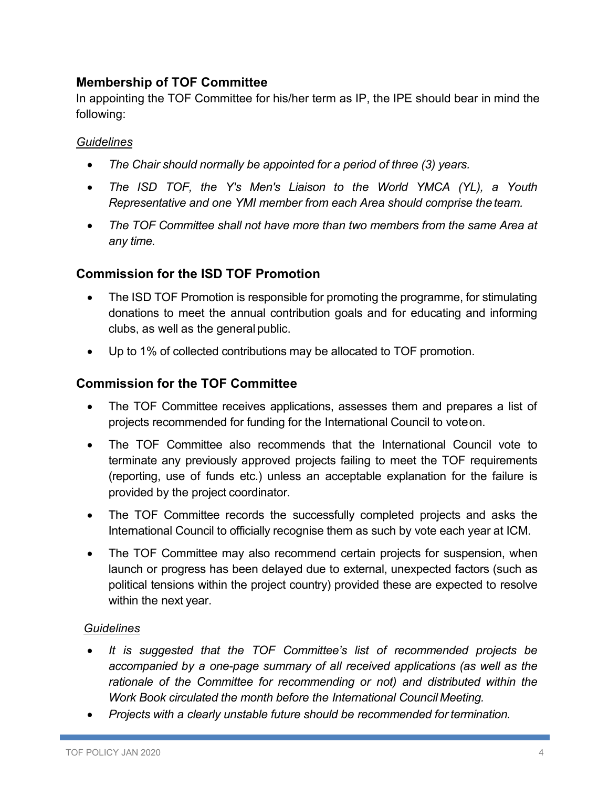#### **Membership of TOF Committee**

In appointing the TOF Committee for his/her term as IP, the IPE should bear in mind the following:

#### *Guidelines*

- *The Chair should normally be appointed for a period of three (3) years.*
- *The ISD TOF, the Y's Men's Liaison to the World YMCA (YL), a Youth Representative and one YMI member from each Area should comprise the team.*
- *The TOF Committee shall not have more than two members from the same Area at any time.*

#### <span id="page-5-0"></span>**Commission for the ISD TOF Promotion**

- The ISD TOF Promotion is responsible for promoting the programme, for stimulating donations to meet the annual contribution goals and for educating and informing clubs, as well as the generalpublic.
- Up to 1% of collected contributions may be allocated to TOF promotion.

#### <span id="page-5-1"></span>**Commission for the TOF Committee**

- The TOF Committee receives applications, assesses them and prepares a list of projects recommended for funding for the International Council to voteon.
- The TOF Committee also recommends that the International Council vote to terminate any previously approved projects failing to meet the TOF requirements (reporting, use of funds etc.) unless an acceptable explanation for the failure is provided by the project coordinator.
- The TOF Committee records the successfully completed projects and asks the International Council to officially recognise them as such by vote each year at ICM.
- The TOF Committee may also recommend certain projects for suspension, when launch or progress has been delayed due to external, unexpected factors (such as political tensions within the project country) provided these are expected to resolve within the next year.

#### *Guidelines*

- *It is suggested that the TOF Committee's list of recommended projects be accompanied by a one-page summary of all received applications (as well as the rationale of the Committee for recommending or not) and distributed within the Work Book circulated the month before the International Council Meeting.*
- *Projects with a clearly unstable future should be recommended for termination.*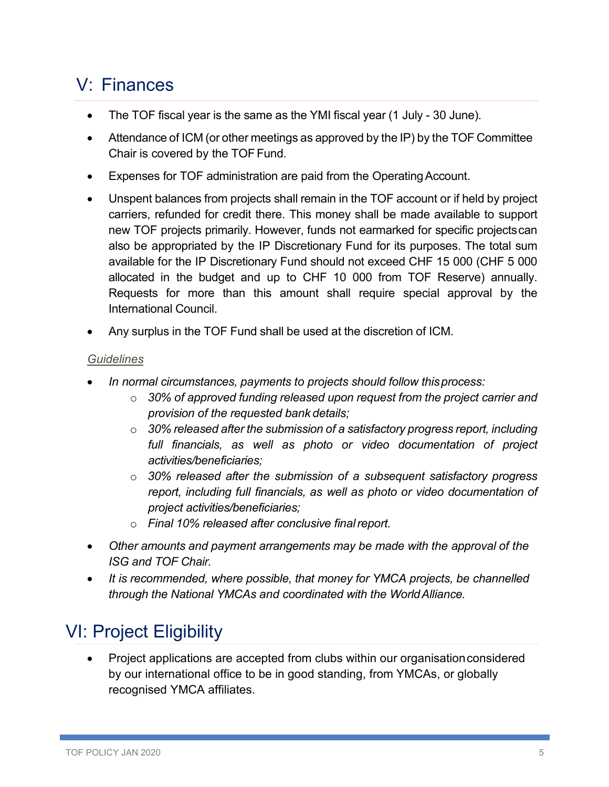# <span id="page-6-0"></span>V: Finances

- The TOF fiscal year is the same as the YMI fiscal year (1 July 30 June).
- Attendance of ICM (or other meetings as approved by the IP) by the TOF Committee Chair is covered by the TOF Fund.
- Expenses for TOF administration are paid from the Operating Account.
- Unspent balances from projects shall remain in the TOF account or if held by project carriers, refunded for credit there. This money shall be made available to support new TOF projects primarily. However, funds not earmarked for specific projectscan also be appropriated by the IP Discretionary Fund for its purposes. The total sum available for the IP Discretionary Fund should not exceed CHF 15 000 (CHF 5 000 allocated in the budget and up to CHF 10 000 from TOF Reserve) annually. Requests for more than this amount shall require special approval by the International Council.
- Any surplus in the TOF Fund shall be used at the discretion of ICM.

#### *Guidelines*

- *In normal circumstances, payments to projects should follow thisprocess:*
	- o *30% of approved funding released upon request from the project carrier and provision of the requested bank details;*
	- o *30% released after the submission of a satisfactory progress report, including full financials, as well as photo or video documentation of project activities/beneficiaries;*
	- o *30% released after the submission of a subsequent satisfactory progress report, including full financials, as well as photo or video documentation of project activities/beneficiaries;*
	- o *Final 10% released after conclusive finalreport.*
- *Other amounts and payment arrangements may be made with the approval of the ISG and TOF Chair.*
- *It is recommended, where possible, that money for YMCA projects, be channelled through the National YMCAs and coordinated with the WorldAlliance.*

# VI: Project Eligibility

• Project applications are accepted from clubs within our organisationconsidered by our international office to be in good standing, from YMCAs, or globally recognised YMCA affiliates.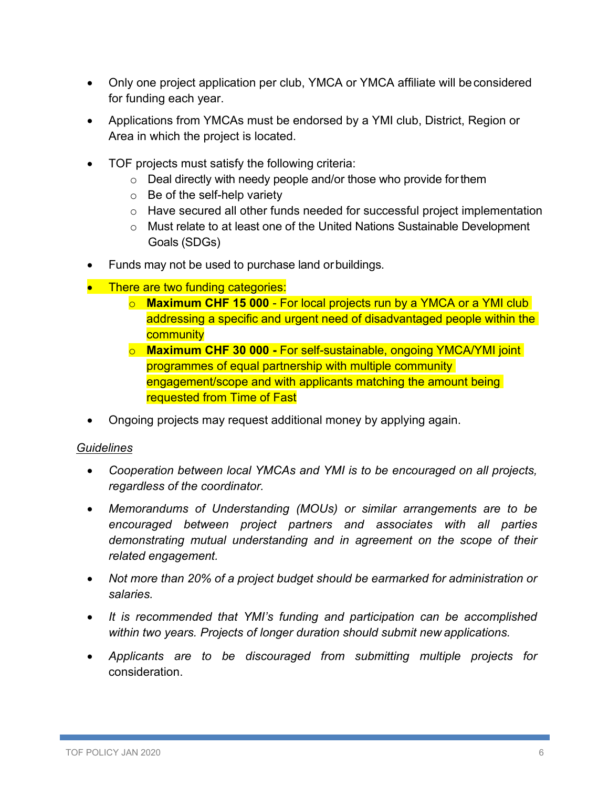- Only one project application per club, YMCA or YMCA affiliate will be considered for funding each year.
- Applications from YMCAs must be endorsed by a YMI club, District, Region or Area in which the project is located.
- TOF projects must satisfy the following criteria:
	- o Deal directly with needy people and/or those who provide forthem
	- $\circ$  Be of the self-help variety
	- o Have secured all other funds needed for successful project implementation
	- o Must relate to at least one of the United Nations Sustainable Development Goals (SDGs)
- Funds may not be used to purchase land orbuildings.
- There are two funding categories:
	- o **Maximum CHF 15 000**  For local projects run by a YMCA or a YMI club addressing a specific and urgent need of disadvantaged people within the **community**
	- o **Maximum CHF 30 000 -** For self-sustainable, ongoing YMCA/YMI joint programmes of equal partnership with multiple community engagement/scope and with applicants matching the amount being requested from Time of Fast
- Ongoing projects may request additional money by applying again.

#### *Guidelines*

- *Cooperation between local YMCAs and YMI is to be encouraged on all projects, regardless of the coordinator.*
- *Memorandums of Understanding (MOUs) or similar arrangements are to be encouraged between project partners and associates with all parties demonstrating mutual understanding and in agreement on the scope of their related engagement.*
- *Not more than 20% of a project budget should be earmarked for administration or salaries.*
- *It is recommended that YMI's funding and participation can be accomplished within two years. Projects of longer duration should submit new applications.*
- *Applicants are to be discouraged from submitting multiple projects for* consideration.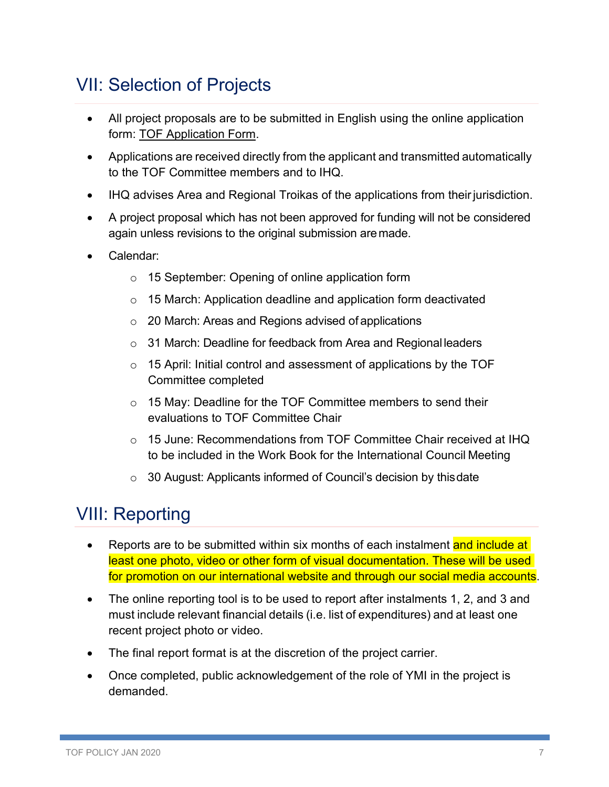## <span id="page-8-0"></span>VII: Selection of Projects

- All project proposals are to be submitted in English using the online application form: TOF Application Form.
- Applications are received directly from the applicant and transmitted automatically to the TOF Committee members and to IHQ.
- IHQ advises Area and Regional Troikas of the applications from their jurisdiction.
- A project proposal which has not been approved for funding will not be considered again unless revisions to the original submission aremade.
- Calendar:
	- o 15 September: Opening of online application form
	- o 15 March: Application deadline and application form deactivated
	- o 20 March: Areas and Regions advised of applications
	- o 31 March: Deadline for feedback from Area and Regional leaders
	- o 15 April: Initial control and assessment of applications by the TOF Committee completed
	- o 15 May: Deadline for the TOF Committee members to send their evaluations to TOF Committee Chair
	- $\circ$  15 June: Recommendations from TOF Committee Chair received at IHQ to be included in the Work Book for the International Council Meeting
	- o 30 August: Applicants informed of Council's decision by thisdate

## <span id="page-8-1"></span>VIII: Reporting

- Reports are to be submitted within six months of each instalment and include at least one photo, video or other form of visual documentation. These will be used for promotion on our international website and through our social media accounts.
- The online reporting tool is to be used to report after instalments 1, 2, and 3 and must include relevant financial details (i.e. list of expenditures) and at least one recent project photo or video.
- The final report format is at the discretion of the project carrier.
- Once completed, public acknowledgement of the role of YMI in the project is demanded.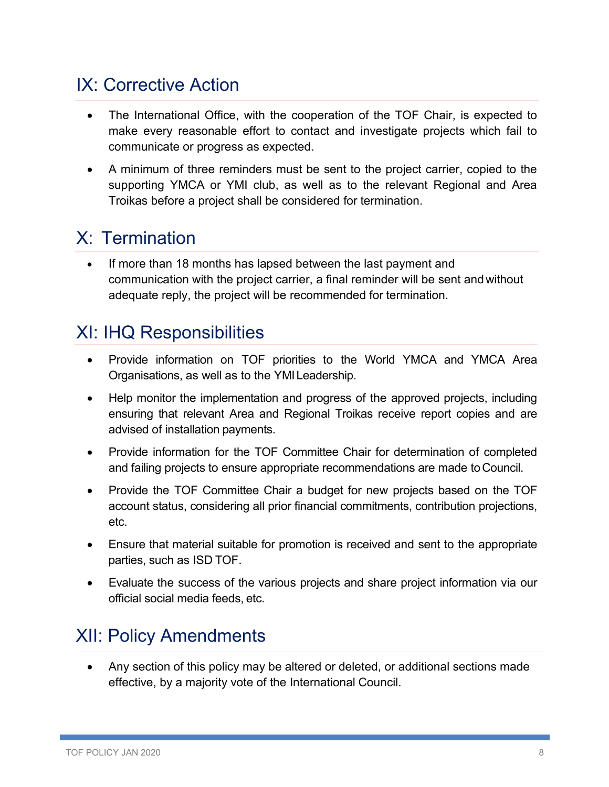## <span id="page-9-0"></span>IX: Corrective Action

- The International Office, with the cooperation of the TOF Chair, is expected to make every reasonable effort to contact and investigate projects which fail to communicate or progress as expected.
- A minimum of three reminders must be sent to the project carrier, copied to the supporting YMCA or YMI club, as well as to the relevant Regional and Area Troikas before a project shall be considered for termination.

## <span id="page-9-1"></span>X: Termination

If more than 18 months has lapsed between the last payment and communication with the project carrier, a final reminder will be sent andwithout adequate reply, the project will be recommended for termination.

### <span id="page-9-2"></span>XI: IHQ Responsibilities

- Provide information on TOF priorities to the World YMCA and YMCA Area Organisations, as well as to the YMILeadership.
- Help monitor the implementation and progress of the approved projects, including ensuring that relevant Area and Regional Troikas receive report copies and are advised of installation payments.
- Provide information for the TOF Committee Chair for determination of completed and failing projects to ensure appropriate recommendations are made toCouncil.
- Provide the TOF Committee Chair a budget for new projects based on the TOF account status, considering all prior financial commitments, contribution projections, etc.
- Ensure that material suitable for promotion is received and sent to the appropriate parties, such as ISD TOF.
- Evaluate the success of the various projects and share project information via our official social media feeds, etc.

## <span id="page-9-3"></span>XII: Policy Amendments

• Any section of this policy may be altered or deleted, or additional sections made effective, by a majority vote of the International Council.